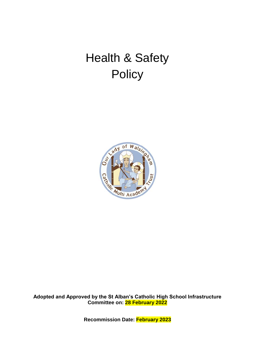# Health & Safety **Policy**



**Adopted and Approved by the St Alban's Catholic High School Infrastructure Committee on: 28 February 2022**

**Recommission Date: February 2023**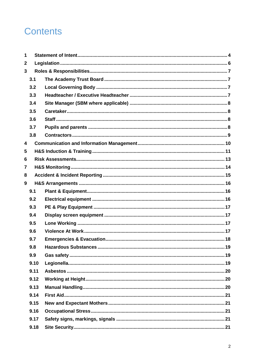## **Contents**

| 1            |      |  |
|--------------|------|--|
| $\mathbf{2}$ |      |  |
| 3            |      |  |
|              | 3.1  |  |
|              | 3.2  |  |
|              | 3.3  |  |
|              | 3.4  |  |
|              | 3.5  |  |
|              | 3.6  |  |
|              | 3.7  |  |
|              | 3.8  |  |
| 4            |      |  |
| 5            |      |  |
| 6            |      |  |
| 7            |      |  |
| 8            |      |  |
| 9            |      |  |
|              | 9.1  |  |
|              | 9.2  |  |
|              | 9.3  |  |
|              | 9.4  |  |
|              | 9.5  |  |
|              | 9.6  |  |
|              | 9.7  |  |
|              | 9.8  |  |
|              | 9.9  |  |
|              | 9.10 |  |
|              | 9.11 |  |
|              | 9.12 |  |
|              | 9.13 |  |
|              | 9.14 |  |
|              | 9.15 |  |
|              | 9.16 |  |
|              | 9.17 |  |
|              | 9.18 |  |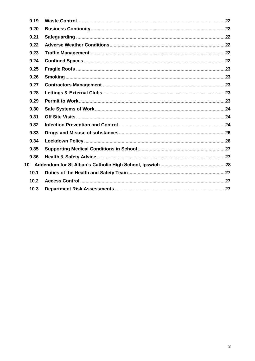| 9.19 |  |
|------|--|
| 9.20 |  |
| 9.21 |  |
| 9.22 |  |
| 9.23 |  |
| 9.24 |  |
| 9.25 |  |
| 9.26 |  |
| 9.27 |  |
| 9.28 |  |
| 9.29 |  |
| 9.30 |  |
| 9.31 |  |
| 9.32 |  |
| 9.33 |  |
| 9.34 |  |
| 9.35 |  |
| 9.36 |  |
|      |  |
| 10.1 |  |
| 10.2 |  |
| 10.3 |  |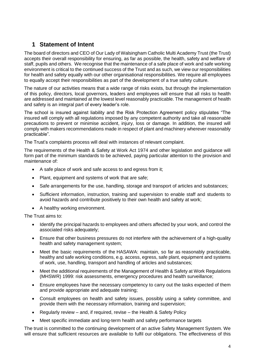## <span id="page-3-0"></span>**1 Statement of Intent**

The board of directors and CEO of Our Lady of Walsingham Catholic Multi Academy Trust (the Trust) accepts their overall responsibility for ensuring, as far as possible, the health, safety and welfare of staff, pupils and others. We recognise that the maintenance of a safe place of work and safe working environment is critical to the continued success of the Trust and as such, we view our responsibilities for health and safety equally with our other organisational responsibilities. We require all employees to equally accept their responsibilities as part of the development of a true safety culture.

The nature of our activities means that a wide range of risks exists, but through the implementation of this policy, directors, local governors, leaders and employees will ensure that all risks to health are addressed and maintained at the lowest level reasonably practicable. The management of health and safety is an integral part of every leader's role.

The school is insured against liability and the Risk Protection Agreement policy stipulates "The insured will comply with all regulations imposed by any competent authority and take all reasonable precautions to prevent or minimise accident, injury, loss or damage. In addition, the insured will comply with makers recommendations made in respect of plant and machinery wherever reasonably practicable".

The Trust's complaints process will deal with instances of relevant complaint.

The requirements of the Health & Safety at Work Act 1974 and other legislation and guidance will form part of the minimum standards to be achieved, paying particular attention to the provision and maintenance of:

- A safe place of work and safe access to and egress from it;
- Plant, equipment and systems of work that are safe;
- Safe arrangements for the use, handling, storage and transport of articles and substances;
- Sufficient information, instruction, training and supervision to enable staff and students to avoid hazards and contribute positively to their own health and safety at work;
- A healthy working environment.

The Trust aims to:

- Identify the principal hazards to employees and others affected by your work, and control the associated risks adequately;
- Ensure that other business pressures do not interfere with the achievement of a high-quality health and safety management system;
- Meet the basic requirements of the HASAWA: maintain, so far as reasonably practicable, healthy and safe working conditions, e.g. access, egress, safe plant, equipment and systems of work, use, handling, transport and handling of articles and substances;
- Meet the additional requirements of the Management of Health & Safety at Work Regulations (MHSWR) 1999: risk assessments, emergency procedures and health surveillance;
- Ensure employees have the necessary competency to carry out the tasks expected of them and provide appropriate and adequate training;
- Consult employees on health and safety issues, possibly using a safety committee, and provide them with the necessary information, training and supervision;
- Regularly review and, if required, revise the Health & Safety Policy
- Meet specific immediate and long-term health and safety performance targets

The trust is committed to the continuing development of an active Safety Management System. We will ensure that sufficient resources are available to fulfil our obligations. The effectiveness of this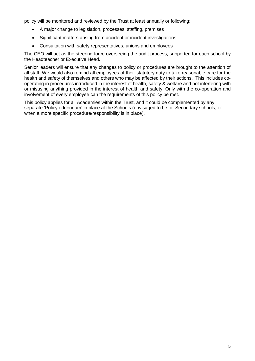policy will be monitored and reviewed by the Trust at least annually or following:

- A major change to legislation, processes, staffing, premises
- Significant matters arising from accident or incident investigations
- Consultation with safety representatives, unions and employees

The CEO will act as the steering force overseeing the audit process, supported for each school by the Headteacher or Executive Head.

Senior leaders will ensure that any changes to policy or procedures are brought to the attention of all staff. We would also remind all employees of their statutory duty to take reasonable care for the health and safety of themselves and others who may be affected by their actions. This includes cooperating in procedures introduced in the interest of health, safety & welfare and not interfering with or misusing anything provided in the interest of health and safety. Only with the co-operation and involvement of every employee can the requirements of this policy be met.

This policy applies for all Academies within the Trust, and it could be complemented by any separate 'Policy addendum' in place at the Schools (envisaged to be for Secondary schools, or when a more specific procedure/responsibility is in place).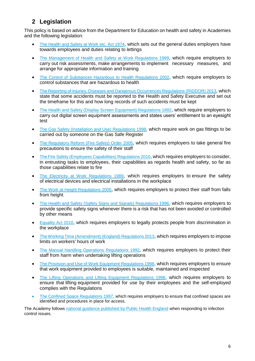## <span id="page-5-0"></span>**2 Legislation**

This policy is based on advice from the Department for Education on health and safety in Academies and the following legislation:

- [The Health and Safety at Work etc. Act 1974](http://www.legislation.gov.uk/ukpga/1974/37), which sets out the general duties employers have towards employees and duties relating to lettings
- [The Management of Health and Safety at Work Regulations 1999](http://www.legislation.gov.uk/uksi/1999/3242/contents/made), which require employers to carry out risk assessments, make arrangements to implement necessary measures, and arrange for appropriate information and training
- [The Control of Substances Hazardous to Health Regulations 2002](http://www.legislation.gov.uk/uksi/2002/2677/contents/made), which require employers to control substances that are hazardous to health
- [The Reporting of Injuries, Diseases and Dangerous Occurrences Regulations](http://www.legislation.gov.uk/uksi/2013/1471/schedule/1/paragraph/1/made) (RIDDOR) 2013, which state that some accidents must be reported to the Health and Safety Executive and set out the timeframe for this and how long records of such accidents must be kept
- [The Health and Safety \(Display Screen Equipment\) Regulations 1992](http://www.legislation.gov.uk/uksi/1992/2792/contents/made), which require employers to carry out digital screen equipment assessments and states users' entitlement to an eyesight test
- [The Gas Safety \(Installation and Use\) Regulations](http://www.legislation.gov.uk/uksi/1998/2451/regulation/4/made) 1998, which require work on gas fittings to be carried out by someone on the Gas Safe Register
- [The Regulatory Reform \(Fire Safety\) Order 2005](http://www.legislation.gov.uk/uksi/2005/1541/part/2/made), which requires employers to take general fire precautions to ensure the safety of their staff
- The [Fire Safety \(Employees Capabilities\) Regulations 2010](http://www.legislation.gov.uk/uksi/2010/471/introduction/made), which requires employers to consider, in entrusting tasks to employees, their capabilities as regards health and safety, so far as those capabilities relate to fire
- [The Electricity at Work Regulations 1989](http://www.legislation.gov.uk/uksi/1989/635/introduction/made), which requires employers to ensure the safety of electrical devices and electrical installations in the workplace
- [The Work at Height Regulations 2005](http://www.legislation.gov.uk/uksi/2005/735/contents/made), which requires employers to protect their staff from falls from height
- [The Health and Safety \(Safety Signs and Signals\) Regulations 1996](http://www.legislation.gov.uk/uksi/1996/341/introduction/made), which requires employers to provide specific safety signs whenever there is a risk that has not been avoided or controlled by other means
- **[Equality Act 2010](http://www.legislation.gov.uk/ukpga/2010/15/introduction), which requires employers to legally protects people from discrimination in** the workplace
- [The Working Time \(Amendment\) \(England\) Regulations 2013](http://www.legislation.gov.uk/uksi/2013/2228/introduction), which requires employers to impose limits on workers' hours of work
- [The Manual Handling Operations Regulations 1992](http://www.legislation.gov.uk/uksi/1992/2793/introduction/made), which requires employers to protect their staff from harm when undertaking lifting operations
- The Provision and Use of Work Equipment Regulations 1998, which requires employers to ensure that work equipment provided to employees is suitable, maintained and inspected
- [The Lifting Operations and Lifting Equipment Regulations 1998](http://www.legislation.gov.uk/uksi/1998/2307/introduction/made), which requires employers to ensure that lifting equipment provided for use by their employees and the self-employed complies with the Regulations
- The [Confined Space Regulations 1997,](http://www.legislation.gov.uk/uksi/1997/1713/contents/made) which requires employers to ensure that confined spaces are identified and procedures in place for access.

The Academy follows [national guidance published by Public Health England](https://www.gov.uk/government/uploads/system/uploads/attachment_data/file/522337/Guidance_on_infection_control_in_schools.pdf) when responding to infection control issues.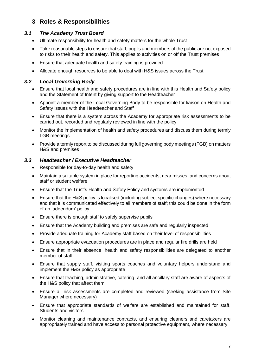## <span id="page-6-0"></span>**3 Roles & Responsibilities**

#### <span id="page-6-1"></span>*3.1 The Academy Trust Board*

- Ultimate responsibility for health and safety matters for the whole Trust
- Take reasonable steps to ensure that staff, pupils and members of the public are not exposed to risks to their health and safety. This applies to activities on or off the Trust premises
- Ensure that adequate health and safety training is provided
- Allocate enough resources to be able to deal with H&S issues across the Trust

#### <span id="page-6-2"></span>*3.2 Local Governing Body*

- Ensure that local health and safety procedures are in line with this Health and Safety policy and the Statement of Intent by giving support to the Headteacher
- Appoint a member of the Local Governing Body to be responsible for liaison on Health and Safety issues with the Headteacher and Staff
- Ensure that there is a system across the Academy for appropriate risk assessments to be carried out, recorded and regularly reviewed in line with the policy
- Monitor the implementation of health and safety procedures and discuss them during termly LGB meetings
- Provide a termly report to be discussed during full governing body meetings (FGB) on matters H&S and premises

#### <span id="page-6-3"></span>*3.3 Headteacher / Executive Headteacher*

- Responsible for day-to-day health and safety
- Maintain a suitable system in place for reporting accidents, near misses, and concerns about staff or student welfare
- Ensure that the Trust's Health and Safety Policy and systems are implemented
- Ensure that the H&S policy is localised (including subject specific changes) where necessary and that it is communicated effectively to all members of staff; this could be done in the form of an 'addendum' policy
- Ensure there is enough staff to safely supervise pupils
- Ensure that the Academy building and premises are safe and regularly inspected
- Provide adequate training for Academy staff based on their level of responsibilities
- Ensure appropriate evacuation procedures are in place and regular fire drills are held
- Ensure that in their absence, health and safety responsibilities are delegated to another member of staff
- Ensure that supply staff, visiting sports coaches and voluntary helpers understand and implement the H&S policy as appropriate
- Ensure that teaching, administrative, catering, and all ancillary staff are aware of aspects of the H&S policy that affect them
- Ensure all risk assessments are completed and reviewed (seeking assistance from Site Manager where necessary)
- Ensure that appropriate standards of welfare are established and maintained for staff, Students and visitors
- Monitor cleaning and maintenance contracts, and ensuring cleaners and caretakers are appropriately trained and have access to personal protective equipment, where necessary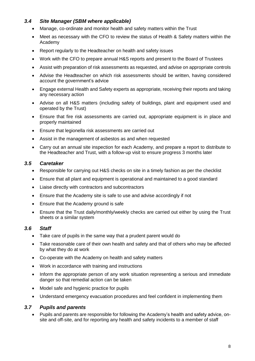#### <span id="page-7-0"></span>*3.4 Site Manager (SBM where applicable)*

- Manage, co-ordinate and monitor health and safety matters within the Trust
- Meet as necessary with the CFO to review the status of Health & Safety matters within the Academy
- Report regularly to the Headteacher on health and safety issues
- Work with the CFO to prepare annual H&S reports and present to the Board of Trustees
- Assist with preparation of risk assessments as requested, and advise on appropriate controls
- Advise the Headteacher on which risk assessments should be written, having considered account the government's advice
- Engage external Health and Safety experts as appropriate, receiving their reports and taking any necessary action
- Advise on all H&S matters (including safety of buildings, plant and equipment used and operated by the Trust)
- Ensure that fire risk assessments are carried out, appropriate equipment is in place and properly maintained
- Ensure that legionella risk assessments are carried out
- Assist in the management of asbestos as and when requested
- Carry out an annual site inspection for each Academy, and prepare a report to distribute to the Headteacher and Trust, with a follow-up visit to ensure progress 3 months later

#### <span id="page-7-1"></span>*3.5 Caretaker*

- Responsible for carrying out H&S checks on site in a timely fashion as per the checklist
- Ensure that all plant and equipment is operational and maintained to a good standard
- Liaise directly with contractors and subcontractors
- Ensure that the Academy site is safe to use and advise accordingly if not
- Ensure that the Academy ground is safe
- Ensure that the Trust daily/monthly/weekly checks are carried out either by using the Trust sheets or a similar system

#### <span id="page-7-2"></span>*3.6 Staff*

- Take care of pupils in the same way that a prudent parent would do
- Take reasonable care of their own health and safety and that of others who may be affected by what they do at work
- Co-operate with the Academy on health and safety matters
- Work in accordance with training and instructions
- Inform the appropriate person of any work situation representing a serious and immediate danger so that remedial action can be taken
- Model safe and hygienic practice for pupils
- Understand emergency evacuation procedures and feel confident in implementing them

#### <span id="page-7-3"></span>*3.7 Pupils and parents*

 Pupils and parents are responsible for following the Academy's health and safety advice, onsite and off-site, and for reporting any health and safety incidents to a member of staff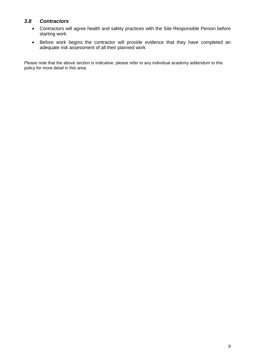#### <span id="page-8-0"></span>*3.8 Contractors*

- Contractors will agree health and safety practices with the Site Responsible Person before starting work
- Before work begins the contractor will provide evidence that they have completed an adequate risk assessment of all their planned work

Please note that the above section is indicative, please refer to any individual academy addendum to this policy for more detail in this area.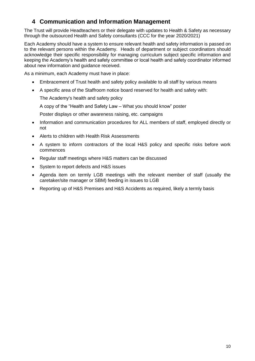## <span id="page-9-0"></span>**4 Communication and Information Management**

The Trust will provide Headteachers or their delegate with updates to Health & Safety as necessary through the outsourced Health and Safety consultants (CCC for the year 2020/2021)

Each Academy should have a system to ensure relevant health and safety information is passed on to the relevant persons within the Academy. Heads of department or subject coordinators should acknowledge their specific responsibility for managing curriculum subject specific information and keeping the Academy's health and safety committee or local health and safety coordinator informed about new information and guidance received.

As a minimum, each Academy must have in place:

- Embracement of Trust health and safety policy available to all staff by various means
- A specific area of the Staffroom notice board reserved for health and safety with:

The Academy's health and safety policy

A copy of the "Health and Safety Law – What you should know" poster

Poster displays or other awareness raising, etc. campaigns

- Information and communication procedures for ALL members of staff, employed directly or not
- Alerts to children with Health Risk Assessments
- A system to inform contractors of the local H&S policy and specific risks before work commences
- Regular staff meetings where H&S matters can be discussed
- System to report defects and H&S issues
- Agenda item on termly LGB meetings with the relevant member of staff (usually the caretaker/site manager or SBM) feeding in issues to LGB
- Reporting up of H&S Premises and H&S Accidents as required, likely a termly basis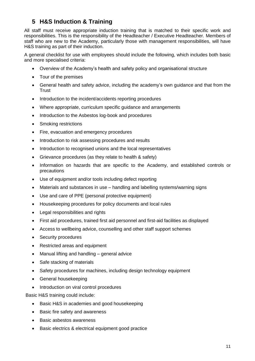## <span id="page-10-0"></span>**5 H&S Induction & Training**

All staff must receive appropriate induction training that is matched to their specific work and responsibilities. This is the responsibility of the Headteacher / Executive Headteacher. Members of staff who are new to the Academy, particularly those with management responsibilities, will have H&S training as part of their induction.

A general checklist for use with employees should include the following, which includes both basic and more specialised criteria:

- Overview of the Academy's health and safety policy and organisational structure
- Tour of the premises
- General health and safety advice, including the academy's own guidance and that from the Trust
- Introduction to the incident/accidents reporting procedures
- Where appropriate, curriculum specific guidance and arrangements
- Introduction to the Asbestos log-book and procedures
- Smoking restrictions
- Fire, evacuation and emergency procedures
- Introduction to risk assessing procedures and results
- Introduction to recognised unions and the local representatives
- Grievance procedures (as they relate to health & safety)
- Information on hazards that are specific to the Academy, and established controls or precautions
- Use of equipment and/or tools including defect reporting
- Materials and substances in use handling and labelling systems/warning signs
- Use and care of PPE (personal protective equipment)
- Housekeeping procedures for policy documents and local rules
- Legal responsibilities and rights
- First aid procedures, trained first aid personnel and first-aid facilities as displayed
- Access to wellbeing advice, counselling and other staff support schemes
- Security procedures
- Restricted areas and equipment
- Manual lifting and handling general advice
- Safe stacking of materials
- Safety procedures for machines, including design technology equipment
- General housekeeping
- Introduction on viral control procedures

Basic H&S training could include:

- Basic H&S in academies and good housekeeping
- Basic fire safety and awareness
- Basic asbestos awareness
- Basic electrics & electrical equipment good practice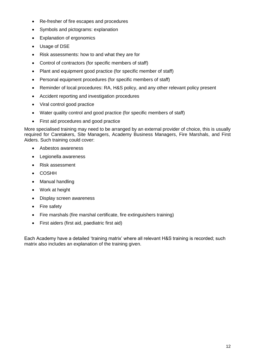- Re-fresher of fire escapes and procedures
- Symbols and pictograms: explanation
- Explanation of ergonomics
- Usage of DSE
- Risk assessments: how to and what they are for
- Control of contractors (for specific members of staff)
- Plant and equipment good practice (for specific member of staff)
- Personal equipment procedures (for specific members of staff)
- Reminder of local procedures: RA, H&S policy, and any other relevant policy present
- Accident reporting and investigation procedures
- Viral control good practice
- Water quality control and good practice (for specific members of staff)
- First aid procedures and good practice

More specialised training may need to be arranged by an external provider of choice, this is usually required for Caretakers, Site Managers, Academy Business Managers, Fire Marshals, and First Aiders. Such training could cover:

- Asbestos awareness
- Legionella awareness
- Risk assessment
- COSHH
- Manual handling
- Work at height
- Display screen awareness
- Fire safety
- Fire marshals (fire marshal certificate, fire extinguishers training)
- First aiders (first aid, paediatric first aid)

Each Academy have a detailed 'training matrix' where all relevant H&S training is recorded; such matrix also includes an explanation of the training given.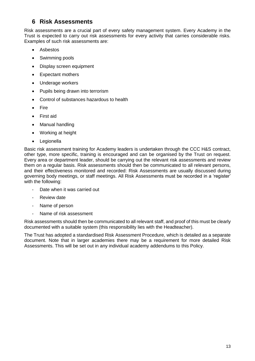## <span id="page-12-0"></span>**6 Risk Assessments**

Risk assessments are a crucial part of every safety management system. Every Academy in the Trust is expected to carry out risk assessments for every activity that carries considerable risks. Examples of such risk assessments are:

- Asbestos
- Swimming pools
- Display screen equipment
- Expectant mothers
- Underage workers
- Pupils being drawn into terrorism
- Control of substances hazardous to health
- Fire
- First aid
- Manual handling
- Working at height
- Legionella

Basic risk assessment training for Academy leaders is undertaken through the CCC H&S contract, other type, more specific, training is encouraged and can be organised by the Trust on request. Every area or department leader, should be carrying out the relevant risk assessments and review them on a regular basis. Risk assessments should then be communicated to all relevant persons, and their effectiveness monitored and recorded: Risk Assessments are usually discussed during governing body meetings, or staff meetings. All Risk Assessments must be recorded in a 'register' with the following:

- Date when it was carried out
- Review date
- Name of person
- Name of risk assessment

Risk assessments should then be communicated to all relevant staff, and proof of this must be clearly documented with a suitable system (this responsibility lies with the Headteacher).

The Trust has adopted a standardised Risk Assessment Procedure, which is detailed as a separate document. Note that in larger academies there may be a requirement for more detailed Risk Assessments. This will be set out in any individual academy addendums to this Policy.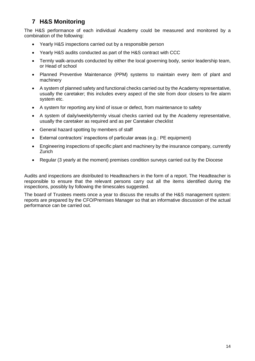## <span id="page-13-0"></span>**7 H&S Monitoring**

The H&S performance of each individual Academy could be measured and monitored by a combination of the following:

- Yearly H&S inspections carried out by a responsible person
- Yearly H&S audits conducted as part of the H&S contract with CCC
- Termly walk-arounds conducted by either the local governing body, senior leadership team, or Head of school
- Planned Preventive Maintenance (PPM) systems to maintain every item of plant and machinery
- A system of planned safety and functional checks carried out by the Academy representative, usually the caretaker; this includes every aspect of the site from door closers to fire alarm system etc.
- A system for reporting any kind of issue or defect, from maintenance to safety
- A system of daily/weekly/termly visual checks carried out by the Academy representative, usually the caretaker as required and as per Caretaker checklist
- General hazard spotting by members of staff
- External contractors' inspections of particular areas (e.g.: PE equipment)
- Engineering inspections of specific plant and machinery by the insurance company, currently Zurich
- Regular (3 yearly at the moment) premises condition surveys carried out by the Diocese

Audits and inspections are distributed to Headteachers in the form of a report. The Headteacher is responsible to ensure that the relevant persons carry out all the items identified during the inspections, possibly by following the timescales suggested.

The board of Trustees meets once a year to discuss the results of the H&S management system: reports are prepared by the CFO/Premises Manager so that an informative discussion of the actual performance can be carried out.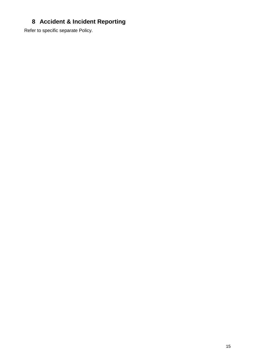## <span id="page-14-0"></span>**Accident & Incident Reporting**

Refer to specific separate Policy.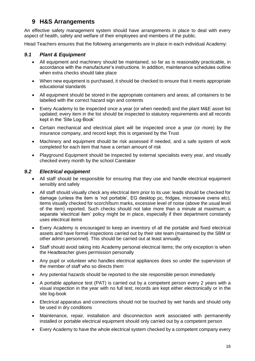## <span id="page-15-0"></span>**9 H&S Arrangements**

An effective safety management system should have arrangements in place to deal with every aspect of health, safety and welfare of their employees and members of the public.

Head Teachers ensures that the following arrangements are in place in each individual Academy:

#### <span id="page-15-1"></span>*9.1 Plant & Equipment*

- All equipment and machinery should be maintained, so far as is reasonably practicable, in accordance with the manufacturer's instructions. In addition, maintenance schedules outline when extra checks should take place
- When new equipment is purchased, it should be checked to ensure that it meets appropriate educational standards
- All equipment should be stored in the appropriate containers and areas; all containers to be labelled with the correct hazard sign and contents
- Every Academy to be inspected once a year (or when needed) and the plant M&E asset list updated; every item in the list should be inspected to statutory requirements and all records kept in the 'Site Log-Book'
- Certain mechanical and electrical plant will be inspected once a year (or more) by the insurance company, and record kept; this is organised by the Trust
- Machinery and equipment should be risk assessed if needed, and a safe system of work completed for each item that have a certain amount of risk
- Playground Equipment should be inspected by external specialists every year, and visually checked every month by the school Caretaker

#### <span id="page-15-2"></span>*9.2 Electrical equipment*

- All staff should be responsible for ensuring that they use and handle electrical equipment sensibly and safely
- All staff should visually check any electrical item prior to its use: leads should be checked for damage (unless the item is 'not portable', EG desktop pc, fridges, microwave ovens etc), items visually checked for scorch/burn marks, excessive level of noise (above the usual level of the item) reported. Such checks should not take more than a minute at maximum; a separate 'electrical item' policy might be in place, especially if their department constantly uses electrical items
- Every Academy is encouraged to keep an inventory of all the portable and fixed electrical assets and have formal inspections carried out by their site team (maintained by the SBM or other admin personnel). This should be carried out at least annually.
- Staff should avoid taking into Academy personal electrical items; the only exception is when the Headteacher gives permission personally
- Any pupil or volunteer who handles electrical appliances does so under the supervision of the member of staff who so directs them
- Any potential hazards should be reported to the site responsible person immediately
- A portable appliance test (PAT) is carried out by a competent person every 2 years with a visual inspection in the year with no full test; records are kept either electronically or in the site log-book
- Electrical apparatus and connections should not be touched by wet hands and should only be used in dry conditions
- Maintenance, repair, installation and disconnection work associated with permanently installed or portable electrical equipment should only carried out by a competent person
- Every Academy to have the whole electrical system checked by a competent company every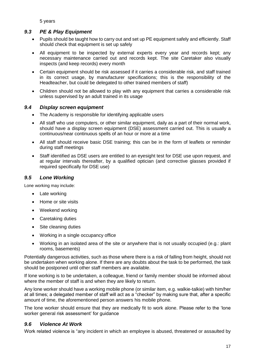5 years

#### <span id="page-16-0"></span>*9.3 PE & Play Equipment*

- Pupils should be taught how to carry out and set up PE equipment safely and efficiently. Staff should check that equipment is set up safely
- All equipment to be inspected by external experts every year and records kept; any necessary maintenance carried out and records kept. The site Caretaker also visually inspects (and keep records) every month
- Certain equipment should be risk assessed if it carries a considerable risk, and staff trained in its correct usage, by manufacturer specifications; this is the responsibility of the Headteacher, but could be delegated to other trained members of staff)
- Children should not be allowed to play with any equipment that carries a considerable risk unless supervised by an adult trained in its usage

#### <span id="page-16-1"></span>*9.4 Display screen equipment*

- The Academy is responsible for identifying applicable users
- All staff who use computers, or other similar equipment, daily as a part of their normal work, should have a display screen equipment (DSE) assessment carried out. This is usually a continuous/near continuous spells of an hour or more at a time
- All staff should receive basic DSE training; this can be in the form of leaflets or reminder during staff meetings
- Staff identified as DSE users are entitled to an eyesight test for DSE use upon request, and at regular intervals thereafter, by a qualified optician (and corrective glasses provided if required specifically for DSE use)

### <span id="page-16-2"></span>*9.5 Lone Working*

Lone working may include:

- Late working
- Home or site visits
- Weekend working
- Caretaking duties
- Site cleaning duties
- Working in a single occupancy office
- Working in an isolated area of the site or anywhere that is not usually occupied (e.g.: plant rooms, basements)

Potentially dangerous activities, such as those where there is a risk of falling from height, should not be undertaken when working alone. If there are any doubts about the task to be performed, the task should be postponed until other staff members are available.

If lone working is to be undertaken, a colleague, friend or family member should be informed about where the member of staff is and when they are likely to return.

Any lone worker should have a working mobile phone (or similar item, e.g. walkie-talkie) with him/her at all times; a delegated member of staff will act as a "checker" by making sure that, after a specific amount of time, the aforementioned person answers his mobile phone.

The lone worker should ensure that they are medically fit to work alone. Please refer to the 'lone worker general risk assessment' for guidance

#### <span id="page-16-3"></span>*9.6 Violence At Work*

Work related violence is "any incident in which an employee is abused, threatened or assaulted by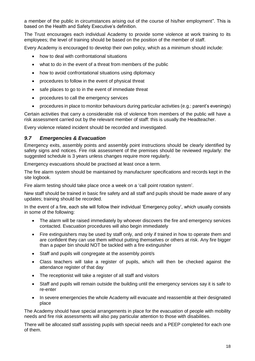a member of the public in circumstances arising out of the course of his/her employment". This is based on the Health and Safety Executive's definition.

The Trust encourages each individual Academy to provide some violence at work training to its employees; the level of training should be based on the position of the member of staff.

Every Academy is encouraged to develop their own policy, which as a minimum should include:

- how to deal with confrontational situations
- what to do in the event of a threat from members of the public
- how to avoid confrontational situations using diplomacy
- procedures to follow in the event of physical threat
- safe places to go to in the event of immediate threat
- procedures to call the emergency services
- procedures in place to monitor behaviours during particular activities (e.g.: parent's evenings)

Certain activities that carry a considerable risk of violence from members of the public will have a risk assessment carried out by the relevant member of staff: this is usually the Headteacher.

Every violence related incident should be recorded and investigated.

#### <span id="page-17-0"></span>*9.7 Emergencies & Evacuation*

Emergency exits, assembly points and assembly point instructions should be clearly identified by safety signs and notices. Fire risk assessment of the premises should be reviewed regularly: the suggested schedule is 3 years unless changes require more regularly.

Emergency evacuations should be practised at least once a term.

The fire alarm system should be maintained by manufacturer specifications and records kept in the site logbook.

Fire alarm testing should take place once a week on a 'call point rotation system'.

New staff should be trained in basic fire safety and all staff and pupils should be made aware of any updates; training should be recorded.

In the event of a fire, each site will follow their individual 'Emergency policy', which usually consists in some of the following:

- The alarm will be raised immediately by whoever discovers the fire and emergency services contacted. Evacuation procedures will also begin immediately
- Fire extinguishers may be used by staff only, and only if trained in how to operate them and are confident they can use them without putting themselves or others at risk. Any fire bigger than a paper bin should NOT be tackled with a fire extinguisher
- Staff and pupils will congregate at the assembly point/s
- Class teachers will take a register of pupils, which will then be checked against the attendance register of that day
- The receptionist will take a register of all staff and visitors
- Staff and pupils will remain outside the building until the emergency services say it is safe to re-enter
- In severe emergencies the whole Academy will evacuate and reassemble at their designated place

The Academy should have special arrangements in place for the evacuation of people with mobility needs and fire risk assessments will also pay particular attention to those with disabilities.

There will be allocated staff assisting pupils with special needs and a PEEP completed for each one of them.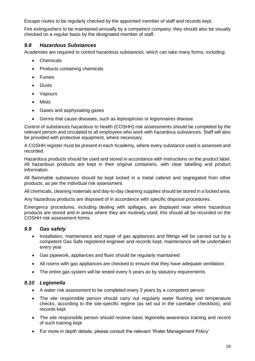Escape routes to be regularly checked by the appointed member of staff and records kept.

Fire extinguishers to be maintained annually by a competent company; they should also be visually checked on a regular basis by the designated member of staff.

#### <span id="page-18-0"></span>*9.8 Hazardous Substances*

Academies are required to control hazardous substances, which can take many forms, including:

- Chemicals
- Products containing chemicals
- Fumes
- Dusts
- Vapours
- Mists
- Gases and asphyxiating gases
- Germs that cause diseases, such as leptospirosis or legionnaires disease

Control of substances hazardous to health (COSHH) risk assessments should be completed by the relevant person and circulated to all employees who work with hazardous substances. Staff will also be provided with protective equipment, where necessary.

A COSHH register must be present in each Academy, where every substance used is assessed and recorded.

Hazardous products should be used and stored in accordance with instructions on the product label. All hazardous products are kept in their original containers, with clear labelling and product information.

All flammable substances should be kept locked in a metal cabinet and segregated from other products, as per the individual risk assessment.

All chemicals, cleaning materials and day-to-day cleaning supplies should be stored in a locked area.

Any hazardous products are disposed of in accordance with specific disposal procedures.

Emergency procedures, including dealing with spillages, are displayed near where hazardous products are stored and in areas where they are routinely used; this should all be recorded on the COSHH risk assessment forms.

#### <span id="page-18-1"></span>*9.9 Gas safety*

- Installation, maintenance and repair of gas appliances and fittings will be carried out by a competent Gas Safe registered engineer and records kept; maintenance will be undertaken every year
- Gas pipework, appliances and flues should be regularly maintained
- All rooms with gas appliances are checked to ensure that they have adequate ventilation
- The entire gas system will be tested every 5 years as by statutory requirements

#### <span id="page-18-2"></span>*9.10 Legionella*

- A water risk assessment to be completed every 3 years by a competent person
- The site responsible person should carry out regularly water flushing and temperature checks, according to the site-specific regime (as set out in the caretaker checklists), and records kept
- The site responsible person should receive basic legionella awareness training and record of such training kept
- For more in depth details, please consult the relevant 'Water Management Policy'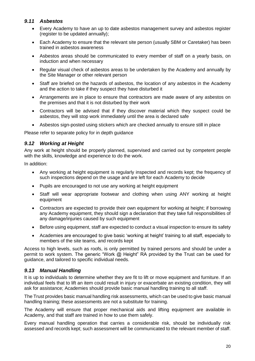#### <span id="page-19-0"></span>*9.11 Asbestos*

- Every Academy to have an up to date asbestos management survey and asbestos register (register to be updated annually);
- Each Academy to ensure that the relevant site person (usually SBM or Caretaker) has been trained in asbestos awareness
- Asbestos areas should be communicated to every member of staff on a yearly basis, on induction and when necessary
- Regular visual check of asbestos areas to be undertaken by the Academy and annually by the Site Manager or other relevant person
- Staff are briefed on the hazards of asbestos, the location of any asbestos in the Academy and the action to take if they suspect they have disturbed it
- Arrangements are in place to ensure that contractors are made aware of any asbestos on the premises and that it is not disturbed by their work
- Contractors will be advised that if they discover material which they suspect could be asbestos, they will stop work immediately until the area is declared safe
- Asbestos sign-posted using stickers which are checked annually to ensure still in place

Please refer to separate policy for in depth guidance

#### <span id="page-19-1"></span>*9.12 Working at Height*

Any work at height should be properly planned, supervised and carried out by competent people with the skills, knowledge and experience to do the work.

In addition:

- Any working at height equipment is regularly inspected and records kept; the frequency of such inspections depend on the usage and are left for each Academy to decide
- Pupils are encouraged to not use any working at height equipment
- Staff will wear appropriate footwear and clothing when using ANY working at height equipment
- Contractors are expected to provide their own equipment for working at height; if borrowing any Academy equipment, they should sign a declaration that they take full responsibilities of any damage/injuries caused by such equipment
- Before using equipment, staff are expected to conduct a visual inspection to ensure its safety
- Academies are encouraged to give basic 'working at height' training to all staff, especially to members of the site teams, and records kept

Access to high levels, such as roofs, is only permitted by trained persons and should be under a permit to work system. The generic "Work @ Height" RA provided by the Trust can be used for guidance, and tailored to specific individual needs.

#### <span id="page-19-2"></span>*9.13 Manual Handling*

It is up to individuals to determine whether they are fit to lift or move equipment and furniture. If an individual feels that to lift an item could result in injury or exacerbate an existing condition, they will ask for assistance; Academies should provide basic manual handling training to all staff.

The Trust provides basic manual handling risk assessments, which can be used to give basic manual handling training; these assessments are not a substitute for training.

The Academy will ensure that proper mechanical aids and lifting equipment are available in Academy, and that staff are trained in how to use them safely.

Every manual handling operation that carries a considerable risk, should be individually risk assessed and records kept; such assessment will be communicated to the relevant member of staff.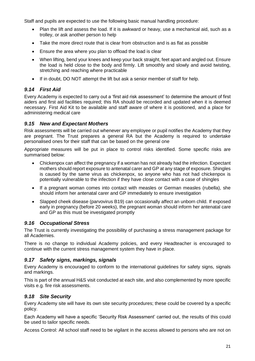Staff and pupils are expected to use the following basic manual handling procedure:

- Plan the lift and assess the load. If it is awkward or heavy, use a mechanical aid, such as a trolley, or ask another person to help
- Take the more direct route that is clear from obstruction and is as flat as possible
- Ensure the area where you plan to offload the load is clear
- When lifting, bend your knees and keep your back straight, feet apart and angled out. Ensure the load is held close to the body and firmly. Lift smoothly and slowly and avoid twisting, stretching and reaching where practicable
- If in doubt, DO NOT attempt the lift but ask a senior member of staff for help.

#### <span id="page-20-0"></span>*9.14 First Aid*

Every Academy is expected to carry out a 'first aid risk assessment' to determine the amount of first aiders and first aid facilities required; this RA should be recorded and updated when it is deemed necessary. First Aid Kit to be available and staff aware of where it is positioned, and a place for administering medical care

#### <span id="page-20-1"></span>*9.15 New and Expectant Mothers*

Risk assessments will be carried out whenever any employee or pupil notifies the Academy that they are pregnant. The Trust prepares a general RA but the Academy is required to undertake personalised ones for their staff that can be based on the general one

Appropriate measures will be put in place to control risks identified. Some specific risks are summarised below:

- Chickenpox can affect the pregnancy if a woman has not already had the infection. Expectant mothers should report exposure to antenatal carer and GP at any stage of exposure. Shingles is caused by the same virus as chickenpox, so anyone who has not had chickenpox is potentially vulnerable to the infection if they have close contact with a case of shingles
- If a pregnant woman comes into contact with measles or German measles (rubella), she should inform her antenatal carer and GP immediately to ensure investigation
- Slapped cheek disease (parvovirus B19) can occasionally affect an unborn child. If exposed early in pregnancy (before 20 weeks), the pregnant woman should inform her antenatal care and GP as this must be investigated promptly

#### <span id="page-20-2"></span>*9.16 Occupational Stress*

The Trust is currently investigating the possibility of purchasing a stress management package for all Academies.

There is no change to individual Academy policies, and every Headteacher is encouraged to continue with the current stress management system they have in place.

#### <span id="page-20-3"></span>*9.17 Safety signs, markings, signals*

Every Academy is encouraged to conform to the international guidelines for safety signs, signals and markings.

This is part of the annual H&S visit conducted at each site, and also complemented by more specific visits e.g. fire risk assessments.

#### <span id="page-20-4"></span>*9.18 Site Security*

Every Academy site will have its own site security procedures; these could be covered by a specific policy.

Each Academy will have a specific 'Security Risk Assessment' carried out, the results of this could be used to tailor specific needs.

Access Control: All school staff need to be vigilant in the access allowed to persons who are not on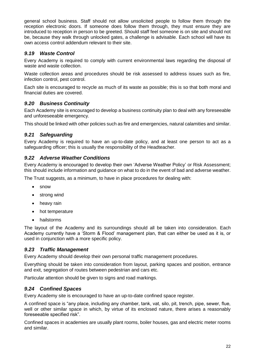general school business. Staff should not allow unsolicited people to follow them through the reception electronic doors. If someone does follow them through, they must ensure they are introduced to reception in person to be greeted. Should staff feel someone is on site and should not be, because they walk through unlocked gates, a challenge is advisable. Each school will have its own access control addendum relevant to their site.

#### <span id="page-21-0"></span>*9.19 Waste Control*

Every Academy is required to comply with current environmental laws regarding the disposal of waste and waste collection.

Waste collection areas and procedures should be risk assessed to address issues such as fire, infection control, pest control.

Each site is encouraged to recycle as much of its waste as possible; this is so that both moral and financial duties are covered.

#### <span id="page-21-1"></span>*9.20 Business Continuity*

Each Academy site is encouraged to develop a business continuity plan to deal with any foreseeable and unforeseeable emergency.

This should be linked with other policies such as fire and emergencies, natural calamities and similar.

#### <span id="page-21-2"></span>*9.21 Safeguarding*

Every Academy is required to have an up-to-date policy, and at least one person to act as a safeguarding officer; this is usually the responsibility of the Headteacher.

#### <span id="page-21-3"></span>*9.22 Adverse Weather Conditions*

Every Academy is encouraged to develop their own 'Adverse Weather Policy' or Risk Assessment; this should include information and guidance on what to do in the event of bad and adverse weather.

The Trust suggests, as a minimum, to have in place procedures for dealing with:

- snow
- strong wind
- heavy rain
- hot temperature
- hailstorms

The layout of the Academy and its surroundings should all be taken into consideration. Each Academy currently have a 'Storm & Flood' management plan, that can either be used as it is, or used in conjunction with a more specific policy.

#### <span id="page-21-4"></span>*9.23 Traffic Management*

Every Academy should develop their own personal traffic management procedures.

Everything should be taken into consideration from layout, parking spaces and position, entrance and exit, segregation of routes between pedestrian and cars etc.

Particular attention should be given to signs and road markings.

#### <span id="page-21-5"></span>*9.24 Confined Spaces*

Every Academy site is encouraged to have an up-to-date confined space register.

A confined space is "any place, including any chamber, tank, vat, silo, pit, trench, pipe, sewer, flue, well or other similar space in which, by virtue of its enclosed nature, there arises a reasonably foreseeable specified risk".

Confined spaces in academies are usually plant rooms, boiler houses, gas and electric meter rooms and similar.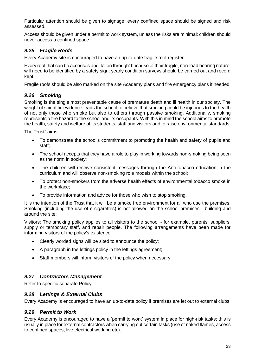Particular attention should be given to signage: every confined space should be signed and risk assessed.

Access should be given under a permit to work system, unless the risks are minimal: children should never access a confined space.

#### <span id="page-22-0"></span>*9.25 Fragile Roofs*

Every Academy site is encouraged to have an up-to-date fragile roof register.

Every roof that can be accesses and 'fallen through' because of their fragile, non-load bearing nature, will need to be identified by a safety sign; yearly condition surveys should be carried out and record kept.

Fragile roofs should be also marked on the site Academy plans and fire emergency plans if needed.

#### <span id="page-22-1"></span>*9.26 Smoking*

Smoking is the single most preventable cause of premature death and ill health in our society. The weight of scientific evidence leads the school to believe that smoking could be injurious to the health of not only those who smoke but also to others through passive smoking. Additionally, smoking represents a fire hazard to the school and its occupants. With this in mind the school aims to promote the health, safety and welfare of its students, staff and visitors and to raise environmental standards.

The Trust` aims:

- To demonstrate the school's commitment to promoting the health and safety of pupils and staff;
- The school accepts that they have a role to play in working towards non-smoking being seen as the norm in society;
- The children will receive consistent messages through the Anti-tobacco education in the curriculum and will observe non-smoking role models within the school;
- To protect non-smokers from the adverse health effects of environmental tobacco smoke in the workplace;
- To provide information and advice for those who wish to stop smoking.

It is the intention of the Trust that it will be a smoke free environment for all who use the premises. Smoking (including the use of e-cigarettes) is not allowed on the school premises - building and around the site;

Visitors: The smoking policy applies to all visitors to the school - for example, parents, suppliers, supply or temporary staff, and repair people. The following arrangements have been made for informing visitors of the policy's existence

- Clearly worded signs will be sited to announce the policy;
- A paragraph in the lettings policy in the lettings agreement;
- Staff members will inform visitors of the policy when necessary.

#### <span id="page-22-2"></span>*9.27 Contractors Management*

Refer to specific separate Policy.

#### <span id="page-22-3"></span>*9.28 Lettings & External Clubs*

Every Academy is encouraged to have an up-to-date policy if premises are let out to external clubs.

#### <span id="page-22-4"></span>*9.29 Permit to Work*

Every Academy is encouraged to have a 'permit to work' system in place for high-risk tasks; this is usually in place for external contractors when carrying out certain tasks (use of naked flames, access to confined spaces, live electrical working etc).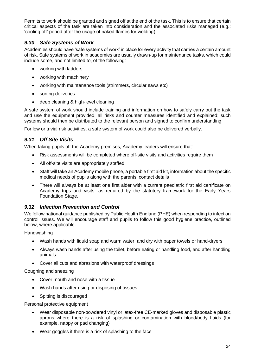Permits to work should be granted and signed off at the end of the task. This is to ensure that certain critical aspects of the task are taken into consideration and the associated risks managed (e.g.: 'cooling off' period after the usage of naked flames for welding).

#### <span id="page-23-0"></span>*9.30 Safe Systems of Work*

Academies should have 'safe systems of work' in place for every activity that carries a certain amount of risk. Safe systems of work in academies are usually drawn-up for maintenance tasks, which could include some, and not limited to, of the following:

- working with ladders
- working with machinery
- working with maintenance tools (strimmers, circular saws etc)
- sorting deliveries
- deep cleaning & high-level cleaning

A safe system of work should include training and information on how to safely carry out the task and use the equipment provided, all risks and counter measures identified and explained; such systems should then be distributed to the relevant person and signed to confirm understanding.

For low or trivial risk activities, a safe system of work could also be delivered verbally.

#### <span id="page-23-1"></span>*9.31 Off Site Visits*

When taking pupils off the Academy premises, Academy leaders will ensure that:

- Risk assessments will be completed where off-site visits and activities require them
- All off-site visits are appropriately staffed
- Staff will take an Academy mobile phone, a portable first aid kit, information about the specific medical needs of pupils along with the parents' contact details
- There will always be at least one first aider with a current paediatric first aid certificate on Academy trips and visits, as required by the statutory framework for the Early Years Foundation Stage.

#### <span id="page-23-2"></span>*9.32 Infection Prevention and Control*

We follow national guidance published by Public Health England (PHE) when responding to infection control issues. We will encourage staff and pupils to follow this good hygiene practice, outlined below, where applicable.

Handwashing

- Wash hands with liquid soap and warm water, and dry with paper towels or hand-dryers
- Always wash hands after using the toilet, before eating or handling food, and after handling animals
- Cover all cuts and abrasions with waterproof dressings

Coughing and sneezing

- Cover mouth and nose with a tissue
- Wash hands after using or disposing of tissues
- Spitting is discouraged

Personal protective equipment

- Wear disposable non-powdered vinyl or latex-free CE-marked gloves and disposable plastic aprons where there is a risk of splashing or contamination with blood/body fluids (for example, nappy or pad changing)
- Wear goggles if there is a risk of splashing to the face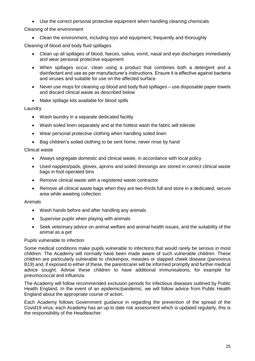Use the correct personal protective equipment when handling cleaning chemicals

Cleaning of the environment

• Clean the environment, including toys and equipment, frequently and thoroughly

Cleaning of blood and body fluid spillages

- Clean up all spillages of blood, faeces, saliva, vomit, nasal and eye discharges immediately and wear personal protective equipment
- When spillages occur, clean using a product that combines both a detergent and a disinfectant and use as per manufacturer's instructions. Ensure it is effective against bacteria and viruses and suitable for use on the affected surface
- Never use mops for cleaning up blood and body fluid spillages use disposable paper towels and discard clinical waste as described below
- Make spillage kits available for blood spills

#### Laundry

- Wash laundry in a separate dedicated facility
- Wash soiled linen separately and at the hottest wash the fabric will tolerate
- Wear personal protective clothing when handling soiled linen
- Bag children's soiled clothing to be sent home, never rinse by hand

#### Clinical waste

- Always segregate domestic and clinical waste, in accordance with local policy
- Used nappies/pads, gloves, aprons and soiled dressings are stored in correct clinical waste bags in foot-operated bins
- Remove clinical waste with a registered waste contractor
- Remove all clinical waste bags when they are two-thirds full and store in a dedicated, secure area while awaiting collection

#### Animals

- Wash hands before and after handling any animals
- Supervise pupils when playing with animals
- Seek veterinary advice on animal welfare and animal health issues, and the suitability of the animal as a pet

#### Pupils vulnerable to infection

Some medical conditions make pupils vulnerable to infections that would rarely be serious in most children. The Academy will normally have been made aware of such vulnerable children. These children are particularly vulnerable to chickenpox, measles or slapped cheek disease (parvovirus B19) and, if exposed to either of these, the parent/carer will be informed promptly and further medical advice sought. Advise these children to have additional immunisations, for example for pneumococcal and influenza.

The Academy will follow recommended exclusion periods for infectious diseases outlined by Public Health England. In the event of an epidemic/pandemic, we will follow advice from Public Health England about the appropriate course of action.

Each Academy follows Government guidance in regarding the prevention of the spread of the Covid19 virus; each Academy has an up to date risk assessment which is updated regularly, this is the responsibility of the Headteacher.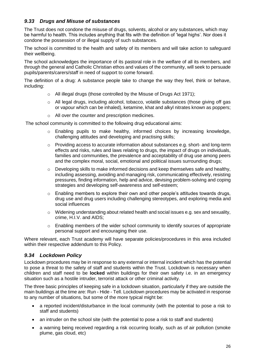#### <span id="page-25-0"></span>*9.33 Drugs and Misuse of substances*

The Trust does not condone the misuse of drugs, solvents, alcohol or any substances, which may be harmful to health. This includes anything that fits with the definition of 'legal highs'. Nor does it condone the possession of or illegal supply of such substances.

The school is committed to the health and safety of its members and will take action to safeguard their wellbeing.

The school acknowledges the importance of its pastoral role in the welfare of all its members, and through the general and Catholic Christian ethos and values of the community, will seek to persuade pupils/parents/carers/staff in need of support to come forward.

The definition of a drug: A substance people take to change the way they feel, think or behave, including:

- o All illegal drugs (those controlled by the Misuse of Drugs Act 1971);
- $\circ$  All legal drugs, including alcohol, tobacco, volatile substances (those giving off gas or vapour which can be inhaled), ketamine, khat and alkyl nitrates known as poppers;
- o All over the counter and prescription medicines.

The school community is committed to the following drug educational aims:

- o Enabling pupils to make healthy, informed choices by increasing knowledge, challenging attitudes and developing and practising skills;
- $\circ$  Providing access to accurate information about substances e.g. short- and long-term effects and risks, rules and laws relating to drugs, the impact of drugs on individuals, families and communities, the prevalence and acceptability of drug use among peers and the complex moral, social, emotional and political issues surrounding drugs;
- o Developing skills to make informed decisions and keep themselves safe and healthy, including assessing, avoiding and managing risk, communicating effectively, resisting pressures, finding information, help and advice, devising problem-solving and coping strategies and developing self-awareness and self-esteem;
- $\circ$  Enabling members to explore their own and other people's attitudes towards drugs, drug use and drug users including challenging stereotypes, and exploring media and social influences
- o Widening understanding about related health and social issues e.g. sex and sexuality, crime, H.I.V. and AIDS;
- $\circ$  Enabling members of the wider school community to identify sources of appropriate personal support and encouraging their use.

Where relevant, each Trust academy will have separate policies/procedures in this area included within their respective addendum to this Policy.

#### <span id="page-25-1"></span>*9.34 Lockdown Policy*

Lockdown procedures may be in response to any external or internal incident which has the potential to pose a threat to the safety of staff and students within the Trust. Lockdown is necessary when children and staff need to be **locked** within buildings for their own safety i.e. in an emergency situation such as a hostile intruder, terrorist attack or other criminal activity.

The three basic principles of keeping safe in a lockdown situation, particularly if they are outside the main buildings at the time are: Run - Hide - Tell. Lockdown procedures may be activated in response to any number of situations, but some of the more typical might be:

- a reported incident/disturbance in the local community (with the potential to pose a risk to staff and students)
- an intruder on the school site (with the potential to pose a risk to staff and students)
- a warning being received regarding a risk occurring locally, such as of air pollution (smoke plume, gas cloud, etc)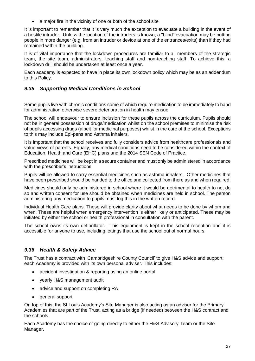• a major fire in the vicinity of one or both of the school site

It is important to remember that it is very much the exception to evacuate a building in the event of a hostile intruder. Unless the location of the intruders is known, a "blind" evacuation may be putting people in more danger (e.g. from an intruder or device at one of the entrances/exits) than if they had remained within the building.

It is of vital importance that the lockdown procedures are familiar to all members of the strategic team, the site team, administrators, teaching staff and non-teaching staff. To achieve this, a lockdown drill should be undertaken at least once a year.

Each academy is expected to have in place its own lockdown policy which may be as an addendum to this Policy.

#### <span id="page-26-0"></span>*9.35 Supporting Medical Conditions in School*

Some pupils live with chronic conditions some of which require medication to be immediately to hand for administration otherwise severe deterioration in health may ensue.

The school will endeavour to ensure inclusion for these pupils across the curriculum. Pupils should not be in general possession of drugs/medication whilst on the school premises to minimise the risk of pupils accessing drugs (albeit for medicinal purposes) whilst in the care of the school. Exceptions to this may include Epi-pens and Asthma inhalers.

It is important that the school receives and fully considers advice from healthcare professionals and value views of parents. Equally, any medical conditions need to be considered within the context of Education, Health and Care (EHC) plans and the 2014 SEN Code of Practice.

Prescribed medicines will be kept in a secure container and must only be administered in accordance with the prescriber's instructions.

Pupils will be allowed to carry essential medicines such as asthma inhalers. Other medicines that have been prescribed should be handed to the office and collected from there as and when required;

Medicines should only be administered in school where it would be detrimental to health to not do so and written consent for use should be obtained when medicines are held in school. The person administering any medication to pupils must log this in the written record.

Individual Health Care plans. These will provide clarity about what needs to be done by whom and when. These are helpful when emergency intervention is either likely or anticipated. These may be initiated by either the school or health professional in consultation with the parent.

The school owns its own defibrillator. This equipment is kept in the school reception and it is accessible for anyone to use, including lettings that use the school out of normal hours.

#### <span id="page-26-1"></span>*9.36 Health & Safety Advice*

The Trust has a contract with 'Cambridgeshire County Council' to give H&S advice and support; each Academy is provided with its own personal adviser. This includes:

- accident investigation & reporting using an online portal
- yearly H&S management audit
- advice and support on completing RA
- general support

On top of this, the St Louis Academy's Site Manager is also acting as an adviser for the Primary Academies that are part of the Trust, acting as a bridge (if needed) between the H&S contract and the schools.

Each Academy has the choice of going directly to either the H&S Advisory Team or the Site Manager.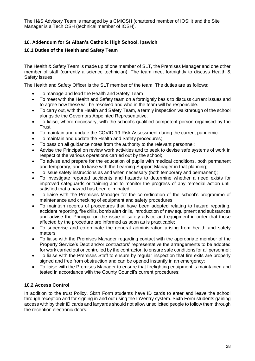The H&S Advisory Team is managed by a CMIOSH (chartered member of IOSH) and the Site Manager is a TechIOSH (technical member of IOSH).

#### **10. Addendum for St Alban's Catholic High School, Ipswich**

#### **10.1 Duties of the Health and Safety Team**

The Health & Safety Team is made up of one member of SLT, the Premises Manager and one other member of staff (currently a science technician). The team meet fortnightly to discuss Health & Safety issues.

The Health and Safety Officer is the SLT member of the team. The duties are as follows:

- To manage and lead the Health and Safety Team
- To meet with the Health and Safety team on a fortnightly basis to discuss current issues and to agree how these will be resolved and who in the team will be responsible.
- To carry out, with the Health and Safety Team, a termly inspection walkthrough of the school alongside the Governors Appointed Representative.
- To liaise, where necessary, with the school's qualified competent person organised by the **Trust**
- To maintain and update the COVID-19 Risk Assessment during the current pandemic.
- To maintain and update the Health and Safety procedures;
- To pass on all guidance notes from the authority to the relevant personnel;
- Advise the Principal on review work activities and to seek to devise safe systems of work in respect of the various operations carried out by the school;
- To advise and prepare for the education of pupils with medical conditions, both permanent and temporary, and to liaise with the Learning Support Manager in that planning;
- To issue safety instructions as and when necessary (both temporary and permanent);
- To investigate reported accidents and hazards to determine whether a need exists for improved safeguards or training and to monitor the progress of any remedial action until satisfied that a hazard has been eliminated;
- To liaise with the Premises Manager for the co-ordination of the school's programme of maintenance and checking of equipment and safety procedures;
- To maintain records of procedures that have been adopted relating to hazard reporting, accident reporting, fire drills, bomb alert drills, introduction of new equipment and substances and advise the Principal on the issue of safety advice and equipment in order that those affected by the procedure are informed as soon as is practicable;
- To supervise and co-ordinate the general administration arising from health and safety matters;
- To liaise with the Premises Manager regarding contact with the appropriate member of the Property Service's Dept and/or contractors' representative the arrangements to be adopted for work carried out or controlled by the contractor, to ensure safe conditions for all personnel;
- To liaise with the Premises Staff to ensure by regular inspection that fire exits are properly signed and free from obstruction and can be opened instantly in an emergency;
- To liaise with the Premises Manager to ensure that firefighting equipment is maintained and tested in accordance with the County Council's current procedures;

#### **10.2 Access Control**

In addition to the trust Policy, Sixth Form students have ID cards to enter and leave the school through reception and for signing in and out using the InVentry system. Sixth Form students gaining access with by their ID cards and lanyards should not allow unsolicited people to follow them through the reception electronic doors.